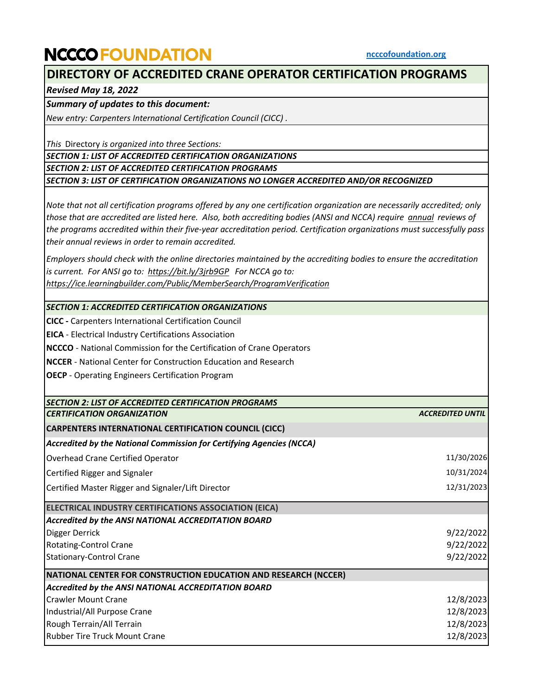## **NCCCO FOUNDATION**

## **DIRECTORY OF ACCREDITED CRANE OPERATOR CERTIFICATION PROGRAMS**

*Revised May 18, 2022*

*Summary of updates to this document:* 

*New entry: Carpenters International Certification Council (CICC) .*

*This* Directory *is organized into three Sections:*

*SECTION 1: LIST OF ACCREDITED CERTIFICATION ORGANIZATIONS*

*SECTION 2: LIST OF ACCREDITED CERTIFICATION PROGRAMS*

*SECTION 3: LIST OF CERTIFICATION ORGANIZATIONS NO LONGER ACCREDITED AND/OR RECOGNIZED*

*Note that not all certification programs offered by any one certification organization are necessarily accredited; only those that are accredited are listed here. Also, both accrediting bodies (ANSI and NCCA) require annual reviews of the programs accredited within their five-year accreditation period. Certification organizations must successfully pass their annual reviews in order to remain accredited.*

*Employers should check with the online directories maintained by the accrediting bodies to ensure the accreditation is current. For ANSI go to: https://bit.ly/3jrb9GP For NCCA go to: https://ice.learningbuilder.com/Public/MemberSearch/ProgramVerification*

*SECTION 1: ACCREDITED CERTIFICATION ORGANIZATIONS*

**CICC -** Carpenters International Certification Council

**EICA** - Electrical Industry Certifications Association

**NCCCO** - National Commission for the Certification of Crane Operators

**NCCER** - National Center for Construction Education and Research

**OECP** - Operating Engineers Certification Program

| SECTION 2: LIST OF ACCREDITED CERTIFICATION PROGRAMS                 |                         |
|----------------------------------------------------------------------|-------------------------|
| <b>CERTIFICATION ORGANIZATION</b>                                    | <b>ACCREDITED UNTIL</b> |
| <b>CARPENTERS INTERNATIONAL CERTIFICATION COUNCIL (CICC)</b>         |                         |
| Accredited by the National Commission for Certifying Agencies (NCCA) |                         |
| Overhead Crane Certified Operator                                    | 11/30/2026              |
| Certified Rigger and Signaler                                        | 10/31/2024              |
| Certified Master Rigger and Signaler/Lift Director                   | 12/31/2023              |
| ELECTRICAL INDUSTRY CERTIFICATIONS ASSOCIATION (EICA)                |                         |
| Accredited by the ANSI NATIONAL ACCREDITATION BOARD                  |                         |
| Digger Derrick                                                       | 9/22/2022               |
| Rotating-Control Crane                                               | 9/22/2022               |
| <b>Stationary-Control Crane</b>                                      | 9/22/2022               |
| NATIONAL CENTER FOR CONSTRUCTION EDUCATION AND RESEARCH (NCCER)      |                         |
| Accredited by the ANSI NATIONAL ACCREDITATION BOARD                  |                         |
| <b>Crawler Mount Crane</b>                                           | 12/8/2023               |
| Industrial/All Purpose Crane                                         | 12/8/2023               |
| Rough Terrain/All Terrain                                            | 12/8/2023               |
| <b>Rubber Tire Truck Mount Crane</b>                                 | 12/8/2023               |